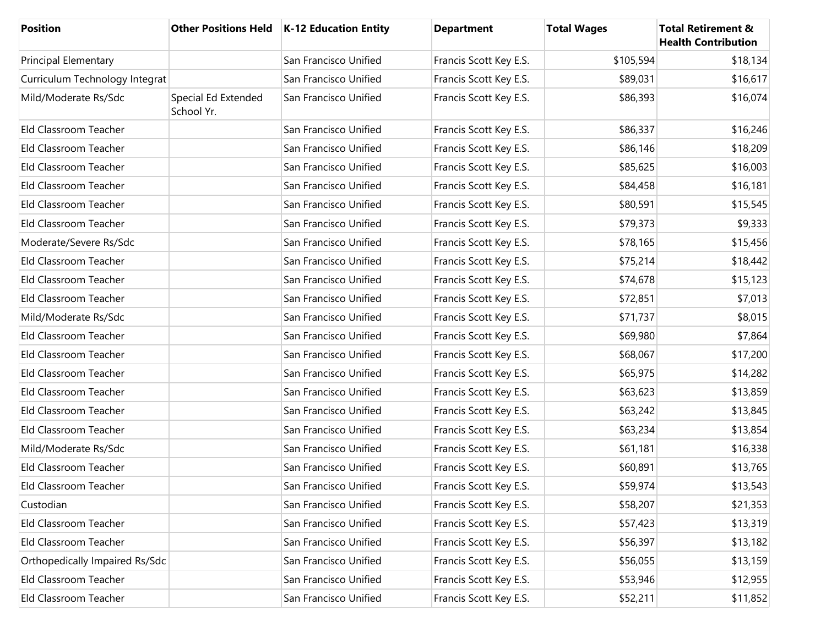| <b>Position</b>                |                                   | Other Positions Held   K-12 Education Entity | <b>Department</b>      | <b>Total Wages</b> | <b>Total Retirement &amp;</b><br><b>Health Contribution</b> |
|--------------------------------|-----------------------------------|----------------------------------------------|------------------------|--------------------|-------------------------------------------------------------|
| <b>Principal Elementary</b>    |                                   | San Francisco Unified                        | Francis Scott Key E.S. | \$105,594          | \$18,134                                                    |
| Curriculum Technology Integrat |                                   | San Francisco Unified                        | Francis Scott Key E.S. | \$89,031           | \$16,617                                                    |
| Mild/Moderate Rs/Sdc           | Special Ed Extended<br>School Yr. | San Francisco Unified                        | Francis Scott Key E.S. | \$86,393           | \$16,074                                                    |
| Eld Classroom Teacher          |                                   | San Francisco Unified                        | Francis Scott Key E.S. | \$86,337           | \$16,246                                                    |
| Eld Classroom Teacher          |                                   | San Francisco Unified                        | Francis Scott Key E.S. | \$86,146           | \$18,209                                                    |
| Eld Classroom Teacher          |                                   | San Francisco Unified                        | Francis Scott Key E.S. | \$85,625           | \$16,003                                                    |
| Eld Classroom Teacher          |                                   | San Francisco Unified                        | Francis Scott Key E.S. | \$84,458           | \$16,181                                                    |
| Eld Classroom Teacher          |                                   | San Francisco Unified                        | Francis Scott Key E.S. | \$80,591           | \$15,545                                                    |
| Eld Classroom Teacher          |                                   | San Francisco Unified                        | Francis Scott Key E.S. | \$79,373           | \$9,333                                                     |
| Moderate/Severe Rs/Sdc         |                                   | San Francisco Unified                        | Francis Scott Key E.S. | \$78,165           | \$15,456                                                    |
| Eld Classroom Teacher          |                                   | San Francisco Unified                        | Francis Scott Key E.S. | \$75,214           | \$18,442                                                    |
| Eld Classroom Teacher          |                                   | San Francisco Unified                        | Francis Scott Key E.S. | \$74,678           | \$15,123                                                    |
| Eld Classroom Teacher          |                                   | San Francisco Unified                        | Francis Scott Key E.S. | \$72,851           | \$7,013                                                     |
| Mild/Moderate Rs/Sdc           |                                   | San Francisco Unified                        | Francis Scott Key E.S. | \$71,737           | \$8,015                                                     |
| Eld Classroom Teacher          |                                   | San Francisco Unified                        | Francis Scott Key E.S. | \$69,980           | \$7,864                                                     |
| Eld Classroom Teacher          |                                   | San Francisco Unified                        | Francis Scott Key E.S. | \$68,067           | \$17,200                                                    |
| Eld Classroom Teacher          |                                   | San Francisco Unified                        | Francis Scott Key E.S. | \$65,975           | \$14,282                                                    |
| Eld Classroom Teacher          |                                   | San Francisco Unified                        | Francis Scott Key E.S. | \$63,623           | \$13,859                                                    |
| Eld Classroom Teacher          |                                   | San Francisco Unified                        | Francis Scott Key E.S. | \$63,242           | \$13,845                                                    |
| Eld Classroom Teacher          |                                   | San Francisco Unified                        | Francis Scott Key E.S. | \$63,234           | \$13,854                                                    |
| Mild/Moderate Rs/Sdc           |                                   | San Francisco Unified                        | Francis Scott Key E.S. | \$61,181           | \$16,338                                                    |
| Eld Classroom Teacher          |                                   | San Francisco Unified                        | Francis Scott Key E.S. | \$60,891           | \$13,765                                                    |
| Eld Classroom Teacher          |                                   | San Francisco Unified                        | Francis Scott Key E.S. | \$59,974           | \$13,543                                                    |
| Custodian                      |                                   | San Francisco Unified                        | Francis Scott Key E.S. | \$58,207           | \$21,353                                                    |
| Eld Classroom Teacher          |                                   | San Francisco Unified                        | Francis Scott Key E.S. | \$57,423           | \$13,319                                                    |
| Eld Classroom Teacher          |                                   | San Francisco Unified                        | Francis Scott Key E.S. | \$56,397           | \$13,182                                                    |
| Orthopedically Impaired Rs/Sdc |                                   | San Francisco Unified                        | Francis Scott Key E.S. | \$56,055           | \$13,159                                                    |
| Eld Classroom Teacher          |                                   | San Francisco Unified                        | Francis Scott Key E.S. | \$53,946           | \$12,955                                                    |
| Eld Classroom Teacher          |                                   | San Francisco Unified                        | Francis Scott Key E.S. | \$52,211           | \$11,852                                                    |